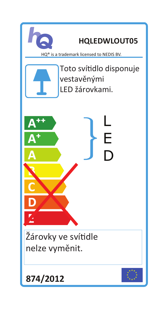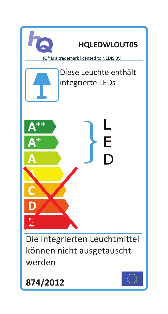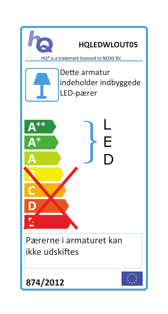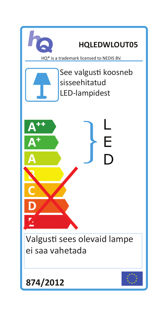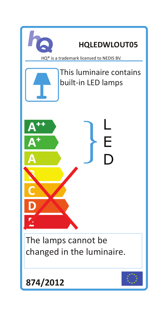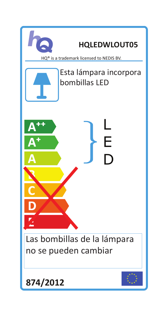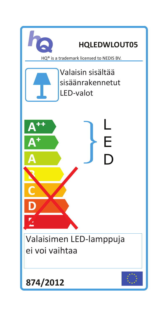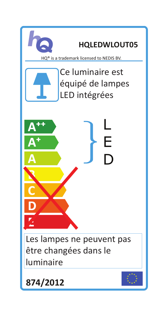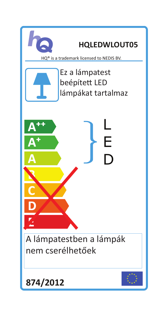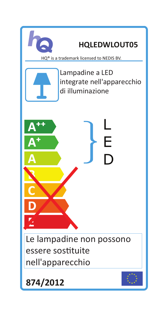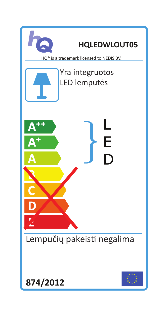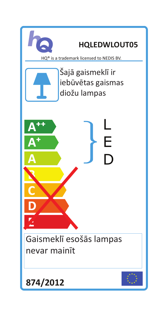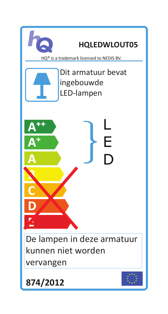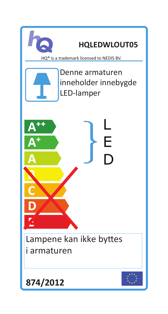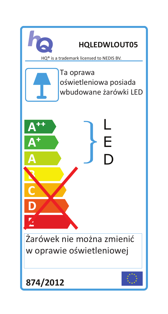